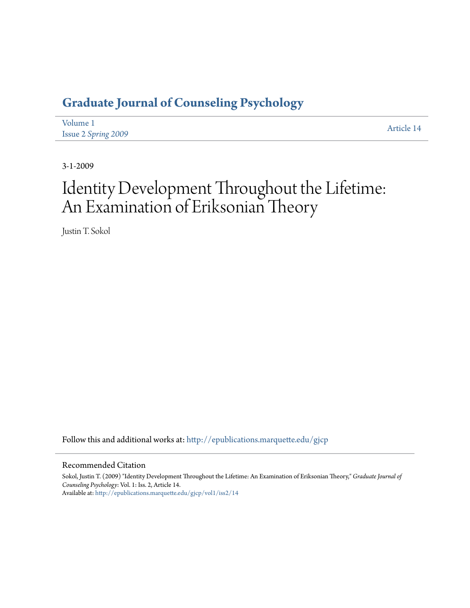## **[Graduate Journal of Counseling Psychology](http://epublications.marquette.edu/gjcp?utm_source=epublications.marquette.edu%2Fgjcp%2Fvol1%2Fiss2%2F14&utm_medium=PDF&utm_campaign=PDFCoverPages)**

| Volume 1            | Article 14 |
|---------------------|------------|
| Issue 2 Spring 2009 |            |

3-1-2009

# Identity Development Throughout the Lifetime: An Examination of Eriksonian Theory

Justin T. Sokol

Follow this and additional works at: [http://epublications.marquette.edu/gjcp](http://epublications.marquette.edu/gjcp?utm_source=epublications.marquette.edu%2Fgjcp%2Fvol1%2Fiss2%2F14&utm_medium=PDF&utm_campaign=PDFCoverPages)

#### Recommended Citation

Sokol, Justin T. (2009) "Identity Development Throughout the Lifetime: An Examination of Eriksonian Theory," *Graduate Journal of Counseling Psychology*: Vol. 1: Iss. 2, Article 14. Available at: [http://epublications.marquette.edu/gjcp/vol1/iss2/14](http://epublications.marquette.edu/gjcp/vol1/iss2/14?utm_source=epublications.marquette.edu%2Fgjcp%2Fvol1%2Fiss2%2F14&utm_medium=PDF&utm_campaign=PDFCoverPages)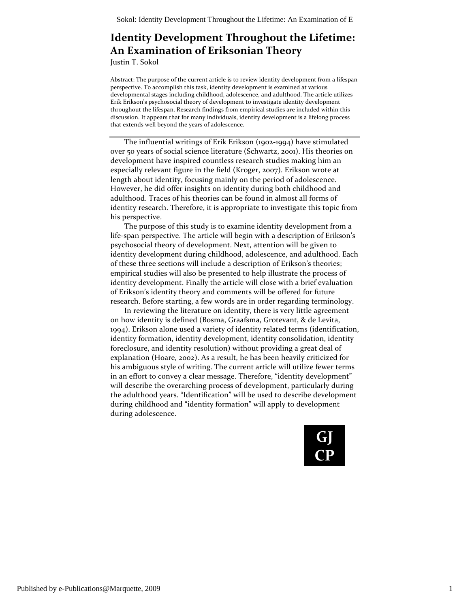### **Identity Development Throughout the Lifetime: An Examination of Eriksonian Theory**

Justin T. Sokol

Abstract: The purpose of the current article is to review identity development from a lifespan perspective. To accomplish this task, identity development is examined at various developmental stages including childhood, adolescence, and adulthood. The article utilizes Erik Erikson's psychosocial theory of development to investigate identity development throughout the lifespan. Research findings from empirical studies are included within this discussion. It appears that for many individuals, identity development is a lifelong process that extends well beyond the years of adolescence.

The influential writings of Erik Erikson (1902‐1994) have stimulated over 50 years of social science literature (Schwartz, 2001). His theories on development have inspired countless research studies making him an especially relevant figure in the field (Kroger, 2007). Erikson wrote at length about identity, focusing mainly on the period of adolescence. However, he did offer insights on identity during both childhood and adulthood. Traces of his theories can be found in almost all forms of identity research. Therefore, it is appropriate to investigate this topic from his perspective.

The purpose of this study is to examine identity development from a life‐span perspective. The article will begin with a description of Erikson's psychosocial theory of development. Next, attention will be given to identity development during childhood, adolescence, and adulthood. Each of these three sections will include a description of Erikson's theories; empirical studies will also be presented to help illustrate the process of identity development. Finally the article will close with a brief evaluation of Erikson's identity theory and comments will be offered for future research. Before starting, a few words are in order regarding terminology.

In reviewing the literature on identity, there is very little agreement on how identity is defined (Bosma, Graafsma, Grotevant, & de Levita, 1994). Erikson alone used a variety of identity related terms (identification, identity formation, identity development, identity consolidation, identity foreclosure, and identity resolution) without providing a great deal of explanation (Hoare, 2002). As a result, he has been heavily criticized for his ambiguous style of writing. The current article will utilize fewer terms in an effort to convey a clear message. Therefore, "identity development" will describe the overarching process of development, particularly during the adulthood years. "Identification" will be used to describe development during childhood and "identity formation" will apply to development during adolescence.

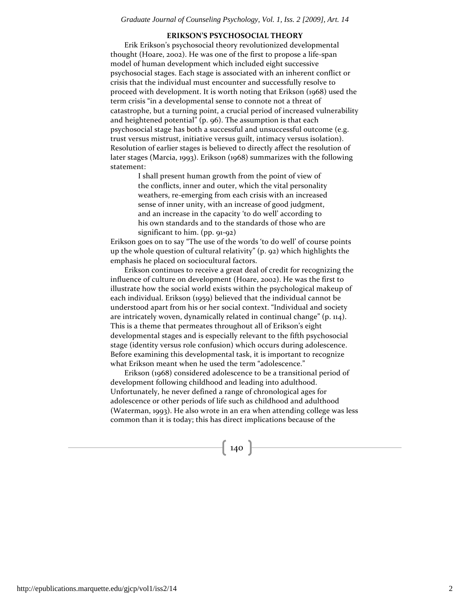#### **ERIKSON'S PSYCHOSOCIAL THEORY**

Erik Erikson's psychosocial theory revolutionized developmental thought (Hoare, 2002). He was one of the first to propose a life‐span model of human development which included eight successive psychosocial stages. Each stage is associated with an inherent conflict or crisis that the individual must encounter and successfully resolve to proceed with development. It is worth noting that Erikson (1968) used the term crisis "in a developmental sense to connote not a threat of catastrophe, but a turning point, a crucial period of increased vulnerability and heightened potential" (p. 96). The assumption is that each psychosocial stage has both a successful and unsuccessful outcome (e.g. trust versus mistrust, initiative versus guilt, intimacy versus isolation). Resolution of earlier stages is believed to directly affect the resolution of later stages (Marcia, 1993). Erikson (1968) summarizes with the following statement:

> I shall present human growth from the point of view of the conflicts, inner and outer, which the vital personality weathers, re-emerging from each crisis with an increased sense of inner unity, with an increase of good judgment, and an increase in the capacity 'to do well' according to his own standards and to the standards of those who are significant to him. (pp. 91‐92)

Erikson goes on to say "The use of the words 'to do well' of course points up the whole question of cultural relativity" (p. 92) which highlights the emphasis he placed on sociocultural factors.

Erikson continues to receive a great deal of credit for recognizing the influence of culture on development (Hoare, 2002). He was the first to illustrate how the social world exists within the psychological makeup of each individual. Erikson (1959) believed that the individual cannot be understood apart from his or her social context. "Individual and society are intricately woven, dynamically related in continual change" (p. 114). This is a theme that permeates throughout all of Erikson's eight developmental stages and is especially relevant to the fifth psychosocial stage (identity versus role confusion) which occurs during adolescence. Before examining this developmental task, it is important to recognize what Erikson meant when he used the term "adolescence."

Erikson (1968) considered adolescence to be a transitional period of development following childhood and leading into adulthood. Unfortunately, he never defined a range of chronological ages for adolescence or other periods of life such as childhood and adulthood (Waterman, 1993). He also wrote in an era when attending college was less common than it is today; this has direct implications because of the

 $-140$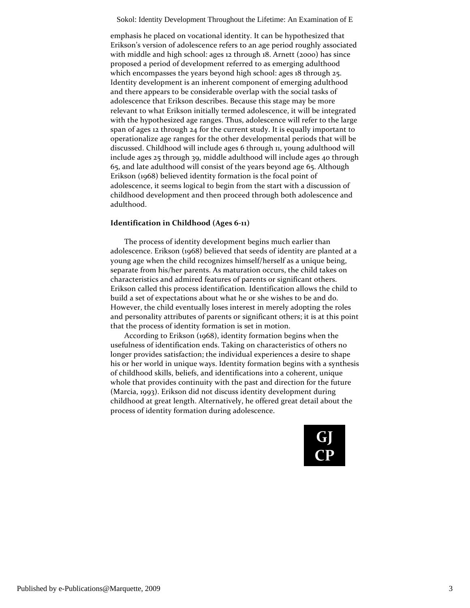emphasis he placed on vocational identity. It can be hypothesized that Erikson's version of adolescence refers to an age period roughly associated with middle and high school: ages 12 through 18. Arnett (2000) has since proposed a period of development referred to as emerging adulthood which encompasses the years beyond high school: ages 18 through 25. Identity development is an inherent component of emerging adulthood and there appears to be considerable overlap with the social tasks of adolescence that Erikson describes. Because this stage may be more relevant to what Erikson initially termed adolescence, it will be integrated with the hypothesized age ranges. Thus, adolescence will refer to the large span of ages 12 through 24 for the current study. It is equally important to operationalize age ranges for the other developmental periods that will be discussed. Childhood will include ages 6 through 11, young adulthood will include ages 25 through 39, middle adulthood will include ages 40 through 65, and late adulthood will consist of the years beyond age 65. Although Erikson (1968) believed identity formation is the focal point of adolescence, it seems logical to begin from the start with a discussion of childhood development and then proceed through both adolescence and adulthood.

#### **Identification in Childhood (Ages 6‐11)**

The process of identity development begins much earlier than adolescence. Erikson (1968) believed that seeds of identity are planted at a young age when the child recognizes himself/herself as a unique being, separate from his/her parents. As maturation occurs, the child takes on characteristics and admired features of parents or significant others. Erikson called this process identification*.* Identification allows the child to build a set of expectations about what he or she wishes to be and do. However, the child eventually loses interest in merely adopting the roles and personality attributes of parents or significant others; it is at this point that the process of identity formation is set in motion.

According to Erikson (1968), identity formation begins when the usefulness of identification ends. Taking on characteristics of others no longer provides satisfaction; the individual experiences a desire to shape his or her world in unique ways. Identity formation begins with a synthesis of childhood skills, beliefs, and identifications into a coherent, unique whole that provides continuity with the past and direction for the future (Marcia, 1993). Erikson did not discuss identity development during childhood at great length. Alternatively, he offered great detail about the process of identity formation during adolescence.

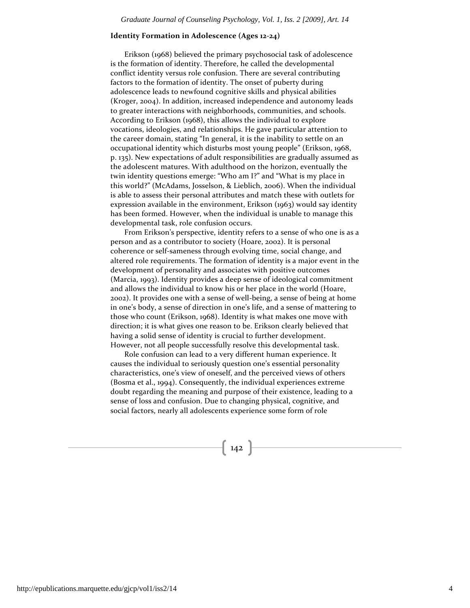#### **Identity Formation in Adolescence (Ages 12‐24)**

Erikson (1968) believed the primary psychosocial task of adolescence is the formation of identity. Therefore, he called the developmental conflict identity versus role confusion. There are several contributing factors to the formation of identity. The onset of puberty during adolescence leads to newfound cognitive skills and physical abilities (Kroger, 2004). In addition, increased independence and autonomy leads to greater interactions with neighborhoods, communities, and schools. According to Erikson (1968), this allows the individual to explore vocations, ideologies, and relationships. He gave particular attention to the career domain, stating "In general, it is the inability to settle on an occupational identity which disturbs most young people" (Erikson, 1968, p. 135). New expectations of adult responsibilities are gradually assumed as the adolescent matures. With adulthood on the horizon, eventually the twin identity questions emerge: "Who am I?" and "What is my place in this world?" (McAdams, Josselson, & Lieblich, 2006). When the individual is able to assess their personal attributes and match these with outlets for expression available in the environment, Erikson (1963) would say identity has been formed. However, when the individual is unable to manage this developmental task, role confusion occurs.

From Erikson's perspective, identity refers to a sense of who one is as a person and as a contributor to society (Hoare, 2002). It is personal coherence or self‐sameness through evolving time, social change, and altered role requirements. The formation of identity is a major event in the development of personality and associates with positive outcomes (Marcia, 1993). Identity provides a deep sense of ideological commitment and allows the individual to know his or her place in the world (Hoare, 2002). It provides one with a sense of well‐being, a sense of being at home in one's body, a sense of direction in one's life, and a sense of mattering to those who count (Erikson, 1968). Identity is what makes one move with direction; it is what gives one reason to be. Erikson clearly believed that having a solid sense of identity is crucial to further development. However, not all people successfully resolve this developmental task.

Role confusion can lead to a very different human experience. It causes the individual to seriously question one's essential personality characteristics, one's view of oneself, and the perceived views of others (Bosma et al., 1994). Consequently, the individual experiences extreme doubt regarding the meaning and purpose of their existence, leading to a sense of loss and confusion. Due to changing physical, cognitive, and social factors, nearly all adolescents experience some form of role

 $\left( 142 \right)$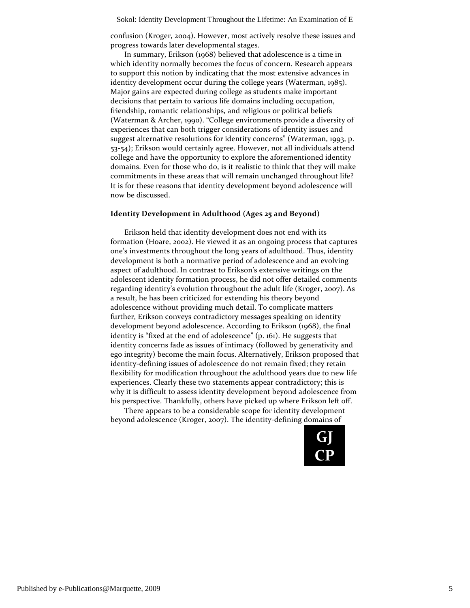confusion (Kroger, 2004). However, most actively resolve these issues and progress towards later developmental stages.

In summary, Erikson (1968) believed that adolescence is a time in which identity normally becomes the focus of concern. Research appears to support this notion by indicating that the most extensive advances in identity development occur during the college years (Waterman, 1985). Major gains are expected during college as students make important decisions that pertain to various life domains including occupation, friendship, romantic relationships, and religious or political beliefs (Waterman & Archer, 1990). "College environments provide a diversity of experiences that can both trigger considerations of identity issues and suggest alternative resolutions for identity concerns" (Waterman, 1993, p. 53‐54); Erikson would certainly agree. However, not all individuals attend college and have the opportunity to explore the aforementioned identity domains. Even for those who do, is it realistic to think that they will make commitments in these areas that will remain unchanged throughout life? It is for these reasons that identity development beyond adolescence will now be discussed.

#### **Identity Development in Adulthood (Ages 25 and Beyond)**

Erikson held that identity development does not end with its formation (Hoare, 2002). He viewed it as an ongoing process that captures one's investments throughout the long years of adulthood. Thus, identity development is both a normative period of adolescence and an evolving aspect of adulthood. In contrast to Erikson's extensive writings on the adolescent identity formation process, he did not offer detailed comments regarding identity's evolution throughout the adult life (Kroger, 2007). As a result, he has been criticized for extending his theory beyond adolescence without providing much detail. To complicate matters further, Erikson conveys contradictory messages speaking on identity development beyond adolescence. According to Erikson (1968), the final identity is "fixed at the end of adolescence" (p. 161). He suggests that identity concerns fade as issues of intimacy (followed by generativity and ego integrity) become the main focus. Alternatively, Erikson proposed that identity-defining issues of adolescence do not remain fixed; they retain flexibility for modification throughout the adulthood years due to new life experiences. Clearly these two statements appear contradictory; this is why it is difficult to assess identity development beyond adolescence from his perspective. Thankfully, others have picked up where Erikson left off.

There appears to be a considerable scope for identity development beyond adolescence (Kroger, 2007). The identity‐defining domains of

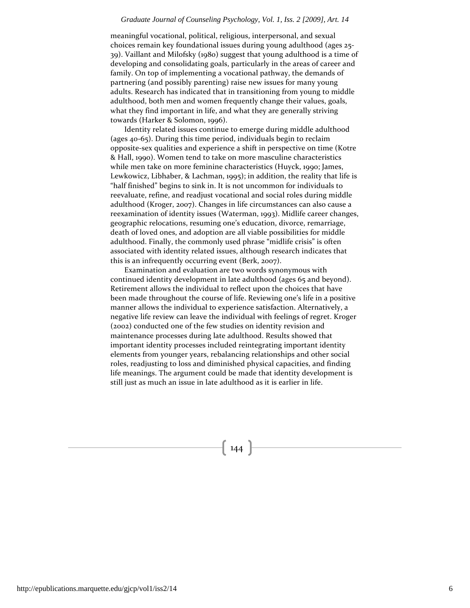#### *Graduate Journal of Counseling Psychology, Vol. 1, Iss. 2 [2009], Art. 14*

meaningful vocational, political, religious, interpersonal, and sexual choices remain key foundational issues during young adulthood (ages 25‐ 39). Vaillant and Milofsky (1980) suggest that young adulthood is a time of developing and consolidating goals, particularly in the areas of career and family. On top of implementing a vocational pathway, the demands of partnering (and possibly parenting) raise new issues for many young adults. Research has indicated that in transitioning from young to middle adulthood, both men and women frequently change their values, goals, what they find important in life, and what they are generally striving towards (Harker & Solomon, 1996).

Identity related issues continue to emerge during middle adulthood (ages 40‐65). During this time period, individuals begin to reclaim opposite‐sex qualities and experience a shift in perspective on time (Kotre & Hall, 1990). Women tend to take on more masculine characteristics while men take on more feminine characteristics (Huyck, 1990; James, Lewkowicz, Libhaber, & Lachman, 1995); in addition, the reality that life is "half finished" begins to sink in. It is not uncommon for individuals to reevaluate, refine, and readjust vocational and social roles during middle adulthood (Kroger, 2007). Changes in life circumstances can also cause a reexamination of identity issues (Waterman, 1993). Midlife career changes, geographic relocations, resuming one's education, divorce, remarriage, death of loved ones, and adoption are all viable possibilities for middle adulthood. Finally, the commonly used phrase "midlife crisis" is often associated with identity related issues, although research indicates that this is an infrequently occurring event (Berk, 2007).

Examination and evaluation are two words synonymous with continued identity development in late adulthood (ages 65 and beyond). Retirement allows the individual to reflect upon the choices that have been made throughout the course of life. Reviewing one's life in a positive manner allows the individual to experience satisfaction. Alternatively, a negative life review can leave the individual with feelings of regret. Kroger (2002) conducted one of the few studies on identity revision and maintenance processes during late adulthood. Results showed that important identity processes included reintegrating important identity elements from younger years, rebalancing relationships and other social roles, readjusting to loss and diminished physical capacities, and finding life meanings. The argument could be made that identity development is still just as much an issue in late adulthood as it is earlier in life.

 $\left\{ \right.$  144  $\left. \right\}$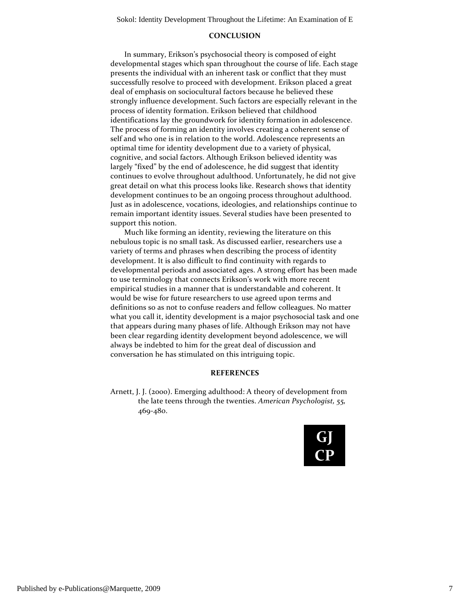#### **CONCLUSION**

In summary, Erikson's psychosocial theory is composed of eight developmental stages which span throughout the course of life. Each stage presents the individual with an inherent task or conflict that they must successfully resolve to proceed with development. Erikson placed a great deal of emphasis on sociocultural factors because he believed these strongly influence development. Such factors are especially relevant in the process of identity formation. Erikson believed that childhood identifications lay the groundwork for identity formation in adolescence. The process of forming an identity involves creating a coherent sense of self and who one is in relation to the world. Adolescence represents an optimal time for identity development due to a variety of physical, cognitive, and social factors. Although Erikson believed identity was largely "fixed" by the end of adolescence, he did suggest that identity continues to evolve throughout adulthood. Unfortunately, he did not give great detail on what this process looks like. Research shows that identity development continues to be an ongoing process throughout adulthood. Just as in adolescence, vocations, ideologies, and relationships continue to remain important identity issues. Several studies have been presented to support this notion.

Much like forming an identity, reviewing the literature on this nebulous topic is no small task. As discussed earlier, researchers use a variety of terms and phrases when describing the process of identity development. It is also difficult to find continuity with regards to developmental periods and associated ages. A strong effort has been made to use terminology that connects Erikson's work with more recent empirical studies in a manner that is understandable and coherent. It would be wise for future researchers to use agreed upon terms and definitions so as not to confuse readers and fellow colleagues. No matter what you call it, identity development is a major psychosocial task and one that appears during many phases of life. Although Erikson may not have been clear regarding identity development beyond adolescence, we will always be indebted to him for the great deal of discussion and conversation he has stimulated on this intriguing topic.

#### **REFERENCES**

Arnett, J. J. (2000). Emerging adulthood: A theory of development from the late teens through the twenties. *American Psychologist, 55,* 469‐480.

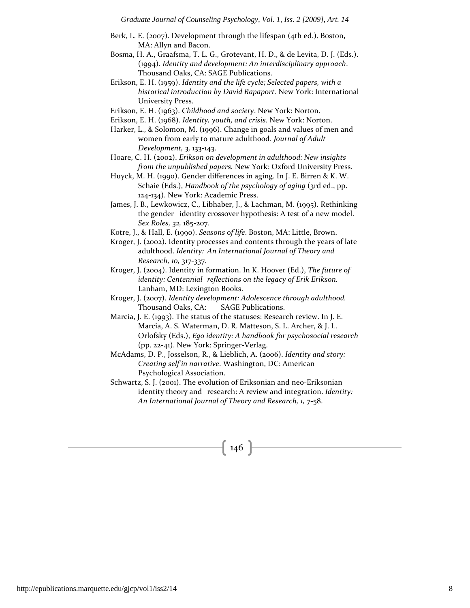- Berk, L. E. (2007). Development through the lifespan (4th ed.). Boston, MA: Allyn and Bacon.
- Bosma, H. A., Graafsma, T. L. G., Grotevant, H. D., & de Levita, D. J. (Eds.). (1994). *Identity and development: An interdisciplinary approach*. Thousand Oaks, CA: SAGE Publications.
- Erikson, E. H. (1959). *Identity and the life cycle; Selected papers, with a historical introduction by David Rapaport.* New York: International University Press.
- Erikson, E. H. (1963). *Childhood and society*. New York: Norton.
- Erikson, E. H. (1968). *Identity, youth, and crisis.* New York: Norton.

Harker, L., & Solomon, M. (1996). Change in goals and values of men and women from early to mature adulthood. *Journal of Adult Development, 3,* 133‐143.

Hoare, C. H. (2002). *Erikson on development in adulthood: New insights from the unpublished papers.* New York: Oxford University Press.

Huyck, M. H. (1990). Gender differences in aging. In J. E. Birren & K. W. Schaie (Eds.), *Handbook of the psychology of aging* (3rd ed., pp. 124‐134). New York: Academic Press.

- James, J. B., Lewkowicz, C., Libhaber, J., & Lachman, M. (1995). Rethinking the gender identity crossover hypothesis: A test of a new model. *Sex Roles, 32,* 185‐207.
- Kotre, J., & Hall, E. (1990). *Seasons of life*. Boston, MA: Little, Brown.
- Kroger, J. (2002). Identity processes and contents through the years of late adulthood. *Identity: An International Journal of Theory and Research, 10,* 317‐337.
- Kroger, J. (2004). Identity in formation. In K. Hoover (Ed.), *The future of identity: Centennial reflections on the legacy of Erik Erikson.* Lanham, MD: Lexington Books.
- Kroger, J. (2007). *Identity development: Adolescence through adulthood.* Thousand Oaks, CA: SAGE Publications.
- Marcia, J. E. (1993). The status of the statuses: Research review. In J. E. Marcia, A. S. Waterman, D. R. Matteson, S. L. Archer, & J. L. Orlofsky (Eds.), *Ego identity: A handbook for psychosocial research* (pp. 22‐41). New York: Springer‐Verlag.

McAdams, D. P., Josselson, R., & Lieblich, A. (2006). *Identity and story: Creating self in narrative*. Washington, DC: American Psychological Association.

Schwartz, S. J. (2001). The evolution of Eriksonian and neo‐Eriksonian identity theory and research: A review and integration. *Identity: An International Journal of Theory and Research, 1,* 7‐58.

## $\left( \frac{1}{46} \right)$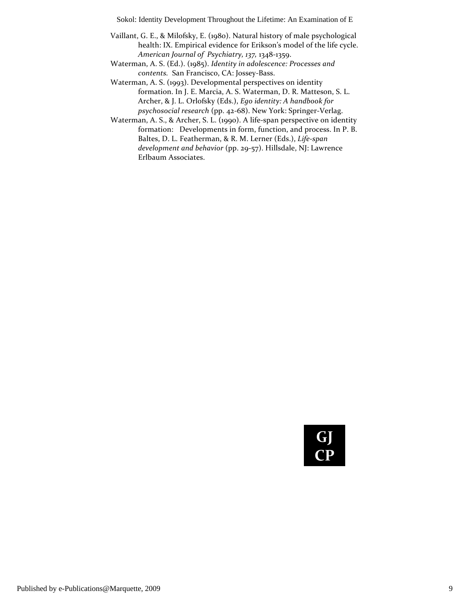- Vaillant, G. E., & Milofsky, E. (1980). Natural history of male psychological health: IX. Empirical evidence for Erikson's model of the life cycle. *American Journal of Psychiatry, 137,* 1348‐1359.
- Waterman, A. S. (Ed.). (1985). *Identity in adolescence: Processes and contents.*  San Francisco, CA: Jossey‐Bass.
- Waterman, A. S. (1993). Developmental perspectives on identity formation. In J. E. Marcia, A. S. Waterman, D. R. Matteson, S. L. Archer, & J. L. Orlofsky (Eds.), *Ego identity: A handbook for psychosocial research* (pp. 42‐68). New York: Springer‐Verlag.
- Waterman, A. S., & Archer, S. L. (1990). A life-span perspective on identity formation: Developments in form, function, and process. In P. B. Baltes, D. L. Featherman, & R. M. Lerner (Eds.), *Life‐span development and behavior* (pp. 29‐57). Hillsdale, NJ: Lawrence Erlbaum Associates.

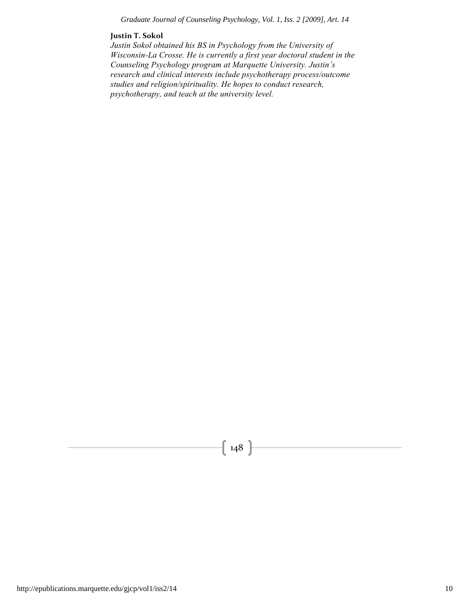#### *Graduate Journal of Counseling Psychology, Vol. 1, Iss. 2 [2009], Art. 14*

#### **Justin T. Sokol**

*Justin Sokol obtained his BS in Psychology from the University of Wisconsin-La Crosse. He is currently a first year doctoral student in the Counseling Psychology program at Marquette University. Justin's research and clinical interests include psychotherapy process/outcome studies and religion/spirituality. He hopes to conduct research, psychotherapy, and teach at the university level.*

 $\left\{\right.148\right\}$